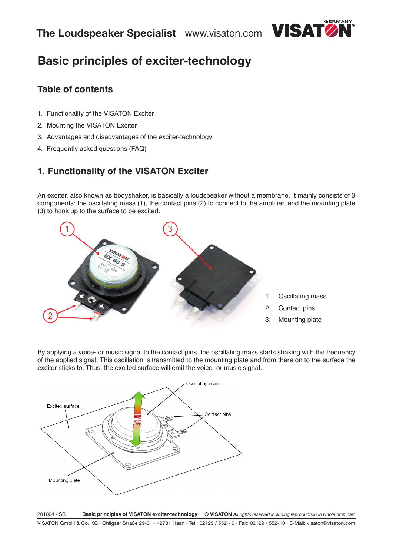

# **Basic principles of exciter-technology**

# **Table of contents**

- 1. Functionality of the VISATON Exciter
- 2. Mounting the VISATON Exciter
- 3. Advantages and disadvantages of the exciter-technology
- 4. Frequently asked questions (FAQ)

# **1. Functionality of the VISATON Exciter**

An exciter, also known as bodyshaker, is basically a loudspeaker without a membrane. It mainly consists of 3 components: the oscillating mass (1), the contact pins (2) to connect to the amplifier, and the mounting plate (3) to hook up to the surface to be excited.



- 1. Oscillating mass
- 2. Contact pins
- 3. Mounting plate

By applying a voice- or music signal to the contact pins, the oscillating mass starts shaking with the frequency of the applied signal. This oscillation is transmitted to the mounting plate and from there on to the surface the exciter sticks to. Thus, the excited surface will emit the voice- or music signal.

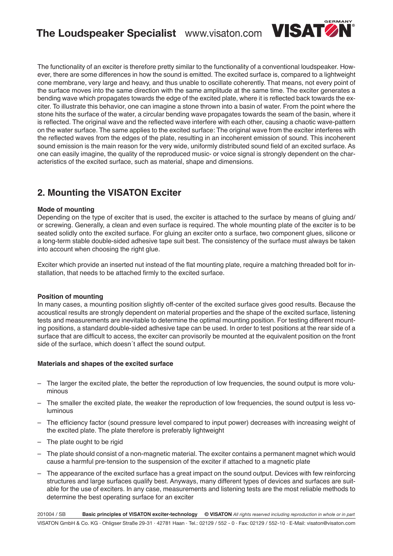

The functionality of an exciter is therefore pretty similar to the functionality of a conventional loudspeaker. However, there are some differences in how the sound is emitted. The excited surface is, compared to a lightweight cone membrane, very large and heavy, and thus unable to oscillate coherently. That means, not every point of the surface moves into the same direction with the same amplitude at the same time. The exciter generates a bending wave which propagates towards the edge of the excited plate, where it is reflected back towards the exciter. To illustrate this behavior, one can imagine a stone thrown into a basin of water. From the point where the stone hits the surface of the water, a circular bending wave propagates towards the seam of the basin, where it is reflected. The original wave and the reflected wave interfere with each other, causing a chaotic wave-pattern on the water surface. The same applies to the excited surface: The original wave from the exciter interferes with the reflected waves from the edges of the plate, resulting in an incoherent emission of sound. This incoherent sound emission is the main reason for the very wide, uniformly distributed sound field of an excited surface. As one can easily imagine, the quality of the reproduced music- or voice signal is strongly dependent on the characteristics of the excited surface, such as material, shape and dimensions.

# **2. Mounting the VISATON Exciter**

### **Mode of mounting**

Depending on the type of exciter that is used, the exciter is attached to the surface by means of gluing and/ or screwing. Generally, a clean and even surface is required. The whole mounting plate of the exciter is to be seated solidly onto the excited surface. For gluing an exciter onto a surface, two component glues, silicone or a long-term stable double-sided adhesive tape suit best. The consistency of the surface must always be taken into account when choosing the right glue.

Exciter which provide an inserted nut instead of the flat mounting plate, require a matching threaded bolt for installation, that needs to be attached firmly to the excited surface.

### **Position of mounting**

In many cases, a mounting position slightly off-center of the excited surface gives good results. Because the acoustical results are strongly dependent on material properties and the shape of the excited surface, listening tests and measurements are inevitable to determine the optimal mounting position. For testing different mounting positions, a standard double-sided adhesive tape can be used. In order to test positions at the rear side of a surface that are difficult to access, the exciter can provisorily be mounted at the equivalent position on the front side of the surface, which doesn´t affect the sound output.

### **Materials and shapes of the excited surface**

- The larger the excited plate, the better the reproduction of low frequencies, the sound output is more voluminous
- The smaller the excited plate, the weaker the reproduction of low frequencies, the sound output is less voluminous
- The efficiency factor (sound pressure level compared to input power) decreases with increasing weight of the excited plate. The plate therefore is preferably lightweight
- The plate ought to be rigid
- The plate should consist of a non-magnetic material. The exciter contains a permanent magnet which would cause a harmful pre-tension to the suspension of the exciter if attached to a magnetic plate
- The appearance of the excited surface has a great impact on the sound output. Devices with few reinforcing structures and large surfaces qualify best. Anyways, many different types of devices and surfaces are suitable for the use of exciters. In any case, measurements and listening tests are the most reliable methods to determine the best operating surface for an exciter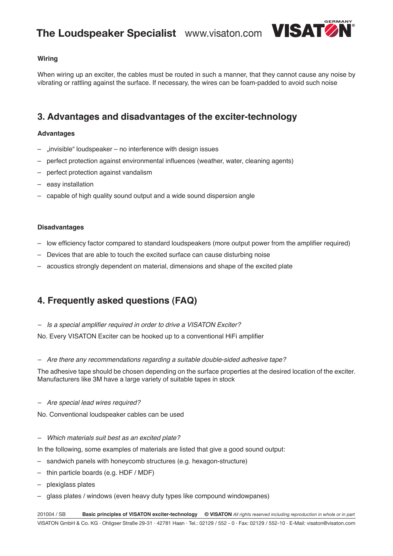

## **Wiring**

When wiring up an exciter, the cables must be routed in such a manner, that they cannot cause any noise by vibrating or rattling against the surface. If necessary, the wires can be foam-padded to avoid such noise

# **3. Advantages and disadvantages of the exciter-technology**

### **Advantages**

- "invisible" loudspeaker no interference with design issues
- perfect protection against environmental influences (weather, water, cleaning agents)
- perfect protection against vandalism
- easy installation
- capable of high quality sound output and a wide sound dispersion angle

### **Disadvantages**

- low efficiency factor compared to standard loudspeakers (more output power from the amplifier required)
- Devices that are able to touch the excited surface can cause disturbing noise
- acoustics strongly dependent on material, dimensions and shape of the excited plate

# **4. Frequently asked questions (FAQ)**

- Is a special amplifier required in order to drive a VISATON Exciter?

No. Every VISATON Exciter can be hooked up to a conventional HiFi amplifier

 $-$  Are there any recommendations regarding a suitable double-sided adhesive tape?

The adhesive tape should be chosen depending on the surface properties at the desired location of the exciter. Manufacturers like 3M have a large variety of suitable tapes in stock

### - Are special lead wires required?

No. Conventional loudspeaker cables can be used

– Which materials suit best as an excited plate?

In the following, some examples of materials are listed that give a good sound output:

- sandwich panels with honeycomb structures (e.g. hexagon-structure)
- thin particle boards (e.g. HDF / MDF)
- plexiglass plates
- glass plates / windows (even heavy duty types like compound windowpanes)